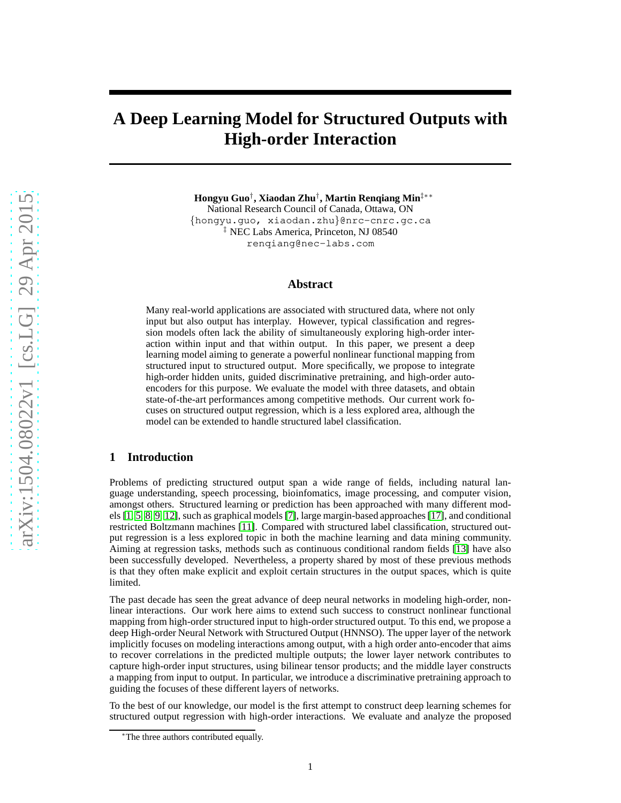# **A Deep Learning Model for Structured Outputs with High-order Interaction**

**Hongyu Guo**† **, Xiaodan Zhu**† **, Martin Renqiang Min**‡∗∗

National Research Council of Canada, Ottawa, ON {hongyu.guo, xiaodan.zhu}@nrc-cnrc.gc.ca ‡ NEC Labs America, Princeton, NJ 08540 renqiang@nec-labs.com

# **Abstract**

Many real-world applications are associated with structured data, where not only input but also output has interplay. However, typical classification and regression models often lack the ability of simultaneously exploring high-order interaction within input and that within output. In this paper, we present a deep learning model aiming to generate a powerful nonlinear functional mapping from structured input to structured output. More specifically, we propose to integrate high-order hidden units, guided discriminative pretraining, and high-order autoencoders for this purpose. We evaluate the model with three datasets, and obtain state-of-the-art performances among competitive methods. Our current work focuses on structured output regression, which is a less explored area, although the model can be extended to handle structured label classification.

# **1 Introduction**

Problems of predicting structured output span a wide range of fields, including natural language understanding, speech processing, bioinfomatics, image processing, and computer vision, amongst others. Structured learning or prediction has been approached with many different models [\[1,](#page-5-0) 5, [8,](#page-5-1) [9,](#page-5-2) [12\]](#page-5-3), such as graphical models [\[7\]](#page-5-4), large margin-based approaches [\[17\]](#page-5-5), and conditional restricted Boltzmann machines [\[11\]](#page-5-6). Compared with structured label classification, structured output regression is a less explored topic in both the machine learning and data mining community. Aiming at regression tasks, methods such as continuous conditional random fields [13] have also been successfully developed. Nevertheless, a property shared by most of these previous methods is that they often make explicit and exploit certain structures in the output spaces, which is quite limited.

The past decade has seen the great advance of deep neural networks in modeling high-order, nonlinear interactions. Our work here aims to extend such success to construct nonlinear functional mapping from high-order structured input to high-order structured output. To this end, we propose a deep High-order Neural Network with Structured Output (HNNSO). The upper layer of the network implicitly focuses on modeling interactions among output, with a high order anto-encoder that aims to recover correlations in the predicted multiple outputs; the lower layer network contributes to capture high-order input structures, using bilinear tensor products; and the middle layer constructs a mapping from input to output. In particular, we introduce a discriminative pretraining approach to guiding the focuses of these different layers of networks.

To the best of our knowledge, our model is the first attempt to construct deep learning schemes for structured output regression with high-order interactions. We evaluate and analyze the proposed

<sup>∗</sup>The three authors contributed equally.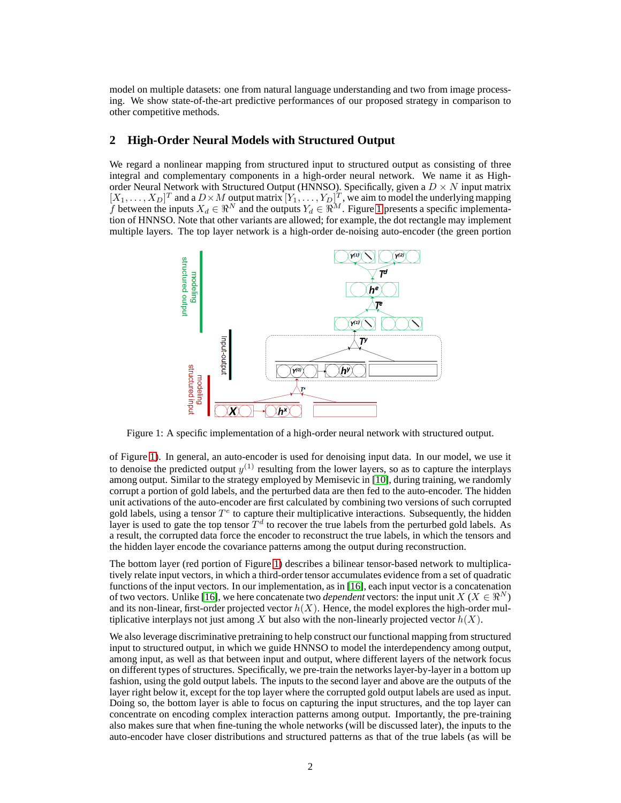model on multiple datasets: one from natural language understanding and two from image processing. We show state-of-the-art predictive performances of our proposed strategy in comparison to other competitive methods.

# **2 High-Order Neural Models with Structured Output**

We regard a nonlinear mapping from structured input to structured output as consisting of three integral and complementary components in a high-order neural network. We name it as Highorder Neural Network with Structured Output (HNNSO). Specifically, given a  $D \times N$  input matrix  $[X_1,\ldots,X_D]^T$  and a  $D\times M$  output matrix  $[Y_1,\ldots,Y_D]^T$ , we aim to model the underlying mapping f between the inputs  $X_d \in \mathbb{R}^N$  and the outputs  $Y_d \in \mathbb{R}^M$ . Figure [1](#page-1-0) presents a specific implementation of HNNSO. Note that other variants are allowed; for example, the dot rectangle may implement multiple layers. The top layer network is a high-order de-noising auto-encoder (the green portion

<span id="page-1-0"></span>

Figure 1: A specific implementation of a high-order neural network with structured output.

of Figure [1\)](#page-1-0). In general, an auto-encoder is used for denoising input data. In our model, we use it to denoise the predicted output  $y^{(1)}$  resulting from the lower layers, so as to capture the interplays among output. Similar to the strategy employed by Memisevic in [\[10\]](#page-5-7), during training, we randomly corrupt a portion of gold labels, and the perturbed data are then fed to the auto-encoder. The hidden unit activations of the auto-encoder are first calculated by combining two versions of such corrupted gold labels, using a tensor  $T^e$  to capture their multiplicative interactions. Subsequently, the hidden layer is used to gate the top tensor  $T<sup>d</sup>$  to recover the true labels from the perturbed gold labels. As a result, the corrupted data force the encoder to reconstruct the true labels, in which the tensors and the hidden layer encode the covariance patterns among the output during reconstruction.

The bottom layer (red portion of Figure [1\)](#page-1-0) describes a bilinear tensor-based network to multiplicatively relate input vectors, in which a third-order tensor accumulates evidence from a set of quadratic functions of the input vectors. In our implementation, as in [\[16\]](#page-5-8), each input vector is a concatenation of two vectors. Unlike [\[16\]](#page-5-8), we here concatenate two *dependent* vectors: the input unit  $X(X \in \mathbb{R}^N)$ and its non-linear, first-order projected vector  $h(X)$ . Hence, the model explores the high-order multiplicative interplays not just among X but also with the non-linearly projected vector  $h(X)$ .

We also leverage discriminative pretraining to help construct our functional mapping from structured input to structured output, in which we guide HNNSO to model the interdependency among output, among input, as well as that between input and output, where different layers of the network focus on different types of structures. Specifically, we pre-train the networks layer-by-layer in a bottom up fashion, using the gold output labels. The inputs to the second layer and above are the outputs of the layer right below it, except for the top layer where the corrupted gold output labels are used as input. Doing so, the bottom layer is able to focus on capturing the input structures, and the top layer can concentrate on encoding complex interaction patterns among output. Importantly, the pre-training also makes sure that when fine-tuning the whole networks (will be discussed later), the inputs to the auto-encoder have closer distributions and structured patterns as that of the true labels (as will be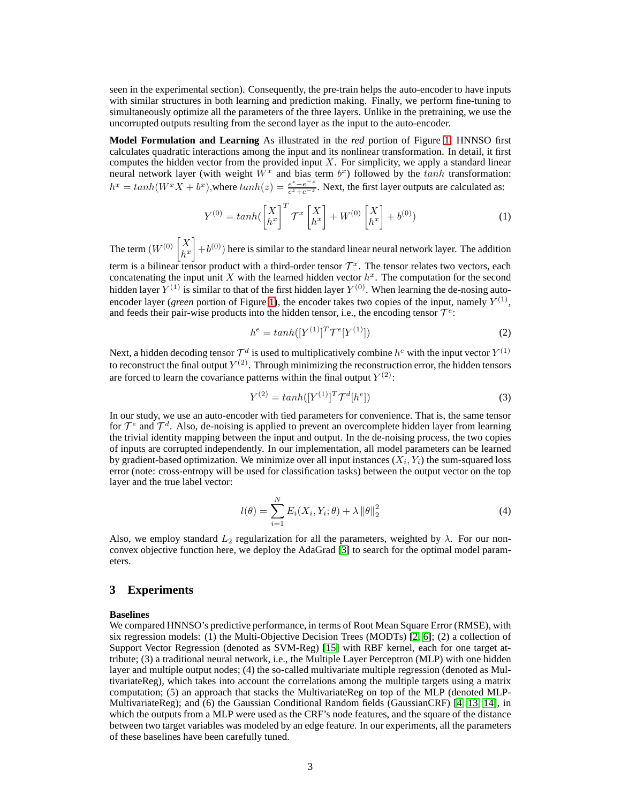seen in the experimental section). Consequently, the pre-train helps the auto-encoder to have inputs with similar structures in both learning and prediction making. Finally, we perform fine-tuning to simultaneously optimize all the parameters of the three layers. Unlike in the pretraining, we use the uncorrupted outputs resulting from the second layer as the input to the auto-encoder.

**Model Formulation and Learning** As illustrated in the *red* portion of Figure [1,](#page-1-0) HNNSO first calculates quadratic interactions among the input and its nonlinear transformation. In detail, it first computes the hidden vector from the provided input  $X$ . For simplicity, we apply a standard linear neural network layer (with weight  $\overline{W}^x$  and bias term  $b^x$ ) followed by the tanh transformation:  $h^x = tanh(W^x X + b^x)$ , where  $tanh(z) = \frac{e^z - e^{-z}}{e^z + e^{-z}}$  $\frac{e^z - e^{-z}}{e^z + e^{-z}}$ . Next, the first layer outputs are calculated as:

$$
Y^{(0)} = \tanh\left(\begin{bmatrix} X \\ h^x \end{bmatrix}^T \mathcal{T}^x \begin{bmatrix} X \\ h^x \end{bmatrix} + W^{(0)} \begin{bmatrix} X \\ h^x \end{bmatrix} + b^{(0)}\right) \tag{1}
$$

The term  $(W^{(0)}\left[\begin{smallmatrix} X\ N\end{smallmatrix}\right]$  $\begin{bmatrix} X \\ h^x \end{bmatrix} + b^{(0)}$  here is similar to the standard linear neural network layer. The addition term is a bilinear tensor product with a third-order tensor  $\mathcal{T}^x$ . The tensor relates two vectors, each concatenating the input unit X with the learned hidden vector  $h^x$ . The computation for the second

hidden layer  $Y^{(1)}$  is similar to that of the first hidden layer  $Y^{(0)}$ . When learning the de-nosing autoencoder layer (*green* portion of Figure [1\)](#page-1-0), the encoder takes two copies of the input, namely  $Y^{(1)}$ , and feeds their pair-wise products into the hidden tensor, i.e., the encoding tensor  $T^e$ :

$$
h^{e} = tanh([Y^{(1)}]^{T} \mathcal{T}^{e}[Y^{(1)}])
$$
\n(2)

Next, a hidden decoding tensor  $\mathcal{T}^d$  is used to multiplicatively combine  $h^e$  with the input vector  $Y^{(1)}$ to reconstruct the final output  $Y^{(2)}$ . Through minimizing the reconstruction error, the hidden tensors are forced to learn the covariance patterns within the final output  $Y^{(2)}$ :

$$
Y^{(2)} = \tanh([Y^{(1)}]^T \mathcal{T}^d[h^e])
$$
\n(3)

In our study, we use an auto-encoder with tied parameters for convenience. That is, the same tensor for  $\mathcal{T}^e$  and  $\mathcal{T}^d$ . Also, de-noising is applied to prevent an overcomplete hidden layer from learning the trivial identity mapping between the input and output. In the de-noising process, the two copies of inputs are corrupted independently. In our implementation, all model parameters can be learned by gradient-based optimization. We minimize over all input instances  $(X_i, Y_i)$  the sum-squared loss error (note: cross-entropy will be used for classification tasks) between the output vector on the top layer and the true label vector:

$$
l(\theta) = \sum_{i=1}^{N} E_i(X_i, Y_i; \theta) + \lambda ||\theta||_2^2
$$
 (4)

Also, we employ standard  $L_2$  regularization for all the parameters, weighted by  $\lambda$ . For our nonconvex objective function here, we deploy the AdaGrad [3] to search for the optimal model parameters.

#### **3 Experiments**

#### **Baselines**

We compared HNNSO's predictive performance, in terms of Root Mean Square Error (RMSE), with six regression models: (1) the Multi-Objective Decision Trees (MODTs) [\[2,](#page-5-9) [6\]](#page-5-10); (2) a collection of Support Vector Regression (denoted as SVM-Reg) [\[15\]](#page-5-11) with RBF kernel, each for one target attribute; (3) a traditional neural network, i.e., the Multiple Layer Perceptron (MLP) with one hidden layer and multiple output nodes; (4) the so-called multivariate multiple regression (denoted as MultivariateReg), which takes into account the correlations among the multiple targets using a matrix computation; (5) an approach that stacks the MultivariateReg on top of the MLP (denoted MLP-MultivariateReg); and (6) the Gaussian Conditional Random fields (GaussianCRF) [4, 13, [14\]](#page-5-12), in which the outputs from a MLP were used as the CRF's node features, and the square of the distance between two target variables was modeled by an edge feature. In our experiments, all the parameters of these baselines have been carefully tuned.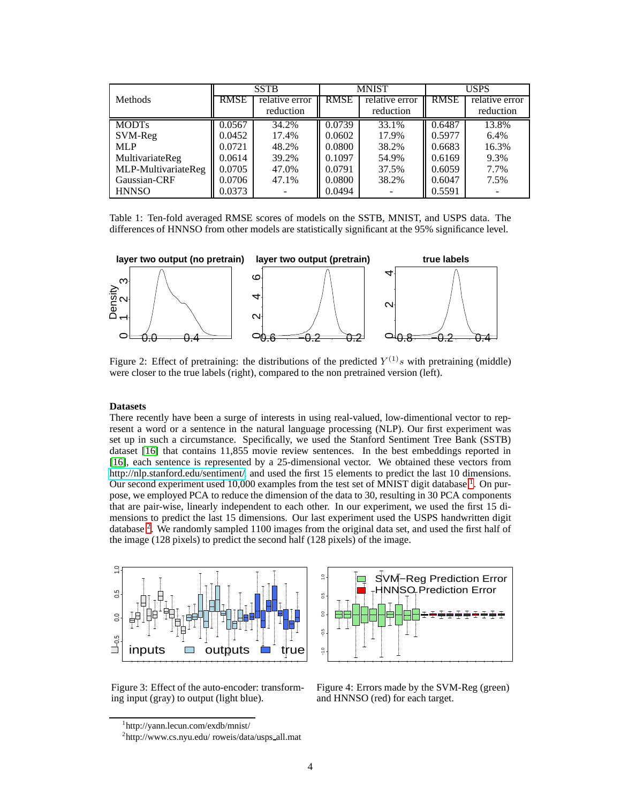<span id="page-3-2"></span>

|                     | <b>SSTB</b> |                | <b>MNIST</b> |                | <b>USPS</b> |                |
|---------------------|-------------|----------------|--------------|----------------|-------------|----------------|
| <b>Methods</b>      | <b>RMSE</b> | relative error | <b>RMSE</b>  | relative error | <b>RMSE</b> | relative error |
|                     |             | reduction      |              | reduction      |             | reduction      |
| <b>MODTs</b>        | 0.0567      | 34.2%          | 0.0739       | 33.1%          | 0.6487      | 13.8%          |
| SVM-Reg             | 0.0452      | 17.4%          | 0.0602       | 17.9%          | 0.5977      | 6.4%           |
| <b>MLP</b>          | 0.0721      | 48.2%          | 0.0800       | 38.2%          | 0.6683      | 16.3%          |
| MultivariateReg     | 0.0614      | 39.2%          | 0.1097       | 54.9%          | 0.6169      | 9.3%           |
| MLP-MultivariateReg | 0.0705      | 47.0%          | 0.0791       | 37.5%          | 0.6059      | 7.7%           |
| Gaussian-CRF        | 0.0706      | 47.1%          | 0.0800       | 38.2%          | 0.6047      | 7.5%           |
| <b>HNNSO</b>        | 0.0373      |                | 0.0494       |                | 0.5591      |                |

<span id="page-3-3"></span>Table 1: Ten-fold averaged RMSE scores of models on the SSTB, MNIST, and USPS data. The differences of HNNSO from other models are statistically significant at the 95% significance level.



Figure 2: Effect of pretraining: the distributions of the predicted  $Y^{(1)}s$  with pretraining (middle) were closer to the true labels (right), compared to the non pretrained version (left).

#### **Datasets**

There recently have been a surge of interests in using real-valued, low-dimentional vector to represent a word or a sentence in the natural language processing (NLP). Our first experiment was set up in such a circumstance. Specifically, we used the Stanford Sentiment Tree Bank (SSTB) dataset [\[16\]](#page-5-8) that contains 11,855 movie review sentences. In the best embeddings reported in [\[16\]](#page-5-8), each sentence is represented by a 25-dimensional vector. We obtained these vectors from [http://nlp.stanford.edu/sentiment/,](http://nlp.stanford.edu/sentiment/) and used the first 15 elements to predict the last 10 dimensions. Our second experiment used [1](#page-3-0)0,000 examples from the test set of MNIST digit database  $<sup>1</sup>$ . On pur-</sup> pose, we employed PCA to reduce the dimension of the data to 30, resulting in 30 PCA components that are pair-wise, linearly independent to each other. In our experiment, we used the first 15 dimensions to predict the last 15 dimensions. Our last experiment used the USPS handwritten digit database<sup>[2](#page-3-1)</sup>. We randomly sampled 1100 images from the original data set, and used the first half of the image (128 pixels) to predict the second half (128 pixels) of the image.

<span id="page-3-4"></span>



Figure 3: Effect of the auto-encoder: transforming input (gray) to output (light blue).



<sup>1</sup> http://yann.lecun.com/exdb/mnist/

<span id="page-3-1"></span><span id="page-3-0"></span><sup>2</sup> http://www.cs.nyu.edu/ roweis/data/usps all.mat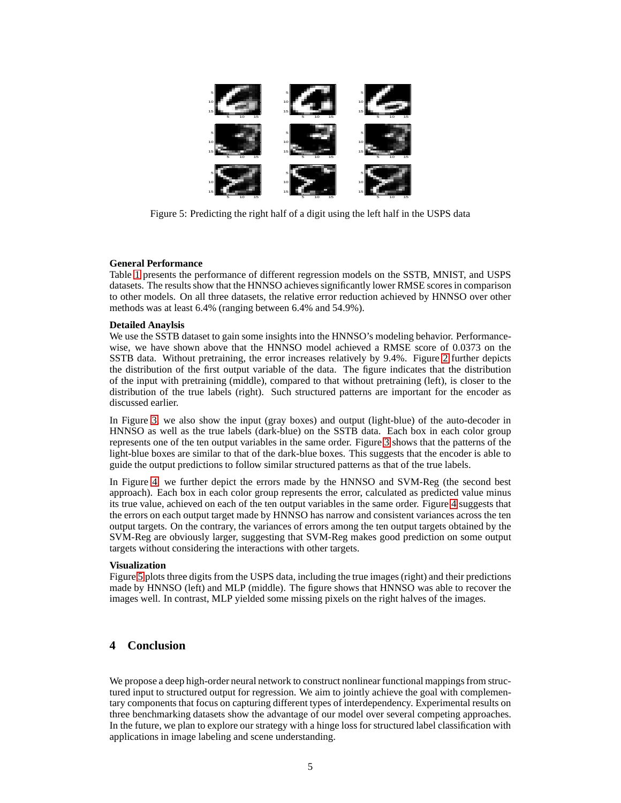<span id="page-4-0"></span>

Figure 5: Predicting the right half of a digit using the left half in the USPS data

#### **General Performance**

Table [1](#page-3-2) presents the performance of different regression models on the SSTB, MNIST, and USPS datasets. The results show that the HNNSO achieves significantly lower RMSE scores in comparison to other models. On all three datasets, the relative error reduction achieved by HNNSO over other methods was at least 6.4% (ranging between 6.4% and 54.9%).

#### **Detailed Anaylsis**

We use the SSTB dataset to gain some insights into the HNNSO's modeling behavior. Performancewise, we have shown above that the HNNSO model achieved a RMSE score of 0.0373 on the SSTB data. Without pretraining, the error increases relatively by 9.4%. Figure [2](#page-3-3) further depicts the distribution of the first output variable of the data. The figure indicates that the distribution of the input with pretraining (middle), compared to that without pretraining (left), is closer to the distribution of the true labels (right). Such structured patterns are important for the encoder as discussed earlier.

In Figure [3,](#page-3-4) we also show the input (gray boxes) and output (light-blue) of the auto-decoder in HNNSO as well as the true labels (dark-blue) on the SSTB data. Each box in each color group represents one of the ten output variables in the same order. Figure [3](#page-3-4) shows that the patterns of the light-blue boxes are similar to that of the dark-blue boxes. This suggests that the encoder is able to guide the output predictions to follow similar structured patterns as that of the true labels.

In Figure [4,](#page-3-4) we further depict the errors made by the HNNSO and SVM-Reg (the second best approach). Each box in each color group represents the error, calculated as predicted value minus its true value, achieved on each of the ten output variables in the same order. Figure [4](#page-3-4) suggests that the errors on each output target made by HNNSO has narrow and consistent variances across the ten output targets. On the contrary, the variances of errors among the ten output targets obtained by the SVM-Reg are obviously larger, suggesting that SVM-Reg makes good prediction on some output targets without considering the interactions with other targets.

#### **Visualization**

Figure [5](#page-4-0) plots three digits from the USPS data, including the true images (right) and their predictions made by HNNSO (left) and MLP (middle). The figure shows that HNNSO was able to recover the images well. In contrast, MLP yielded some missing pixels on the right halves of the images.

## **4 Conclusion**

We propose a deep high-order neural network to construct nonlinear functional mappings from structured input to structured output for regression. We aim to jointly achieve the goal with complementary components that focus on capturing different types of interdependency. Experimental results on three benchmarking datasets show the advantage of our model over several competing approaches. In the future, we plan to explore our strategy with a hinge loss for structured label classification with applications in image labeling and scene understanding.